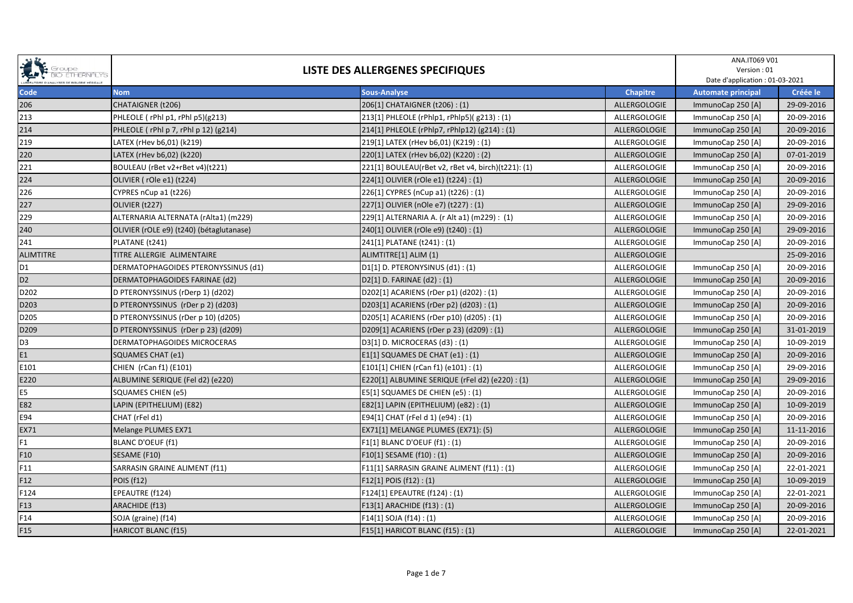| <b>COUPE</b><br><b>SIO ETHERNALY</b><br>SIO ETHERNALY<br><b>BIO ETHERNALYS</b> | LISTE DES ALLERGENES SPECIFIQUES         |                                                    |                 | ANA.IT069 V01<br>Version: 01<br>Date d'application : 01-03-2021 |            |
|--------------------------------------------------------------------------------|------------------------------------------|----------------------------------------------------|-----------------|-----------------------------------------------------------------|------------|
| Code                                                                           | <b>Nom</b>                               | <b>Sous-Analyse</b>                                | <b>Chapitre</b> | <b>Automate principal</b>                                       | Créée le   |
| 206                                                                            | CHATAIGNER (t206)                        | 206[1] CHATAIGNER (t206) : (1)                     | ALLERGOLOGIE    | ImmunoCap 250 [A]                                               | 29-09-2016 |
| 213                                                                            | PHLEOLE (rPhl p1, rPhl p5)(g213)         | 213[1] PHLEOLE (rPhlp1, rPhlp5)( g213): (1)        | ALLERGOLOGIE    | ImmunoCap 250 [A]                                               | 20-09-2016 |
| 214                                                                            | PHLEOLE (rPhl p 7, rPhl p 12) (g214)     | 214[1] PHLEOLE (rPhlp7, rPhlp12) (g214) : (1)      | ALLERGOLOGIE    | ImmunoCap 250 [A]                                               | 20-09-2016 |
| 219                                                                            | LATEX (rHev b6,01) (k219)                | 219[1] LATEX (rHev b6,01) (K219): (1)              | ALLERGOLOGIE    | ImmunoCap 250 [A]                                               | 20-09-2016 |
| 220                                                                            | LATEX (rHev b6,02) (k220)                | 220[1] LATEX (rHev b6,02) (K220): (2)              | ALLERGOLOGIE    | ImmunoCap 250 [A]                                               | 07-01-2019 |
| 221                                                                            | BOULEAU (rBet v2+rBet v4)(t221)          | 221[1] BOULEAU(rBet v2, rBet v4, birch)(t221): (1) | ALLERGOLOGIE    | ImmunoCap 250 [A]                                               | 20-09-2016 |
| 224                                                                            | OLIVIER (rOle e1) (t224)                 | 224[1] OLIVIER (rOle e1) (t224) : (1)              | ALLERGOLOGIE    | ImmunoCap 250 [A]                                               | 20-09-2016 |
| 226                                                                            | CYPRES nCup a1 (t226)                    | 226[1] CYPRES (nCup a1) (t226) : (1)               | ALLERGOLOGIE    | ImmunoCap 250 [A]                                               | 20-09-2016 |
| 227                                                                            | OLIVIER (t227)                           | 227[1] OLIVIER (nOle e7) (t227) : (1)              | ALLERGOLOGIE    | ImmunoCap 250 [A]                                               | 29-09-2016 |
| 229                                                                            | ALTERNARIA ALTERNATA (rAlta1) (m229)     | 229[1] ALTERNARIA A. (r Alt a1) (m229) : (1)       | ALLERGOLOGIE    | ImmunoCap 250 [A]                                               | 20-09-2016 |
| 240                                                                            | OLIVIER (rOLE e9) (t240) (bétaglutanase) | 240[1] OLIVIER (rOle e9) (t240) : (1)              | ALLERGOLOGIE    | ImmunoCap 250 [A]                                               | 29-09-2016 |
| 241                                                                            | PLATANE (t241)                           | 241[1] PLATANE (t241) : (1)                        | ALLERGOLOGIE    | ImmunoCap 250 [A]                                               | 20-09-2016 |
| <b>ALIMTITRE</b>                                                               | TITRE ALLERGIE ALIMENTAIRE               | ALIMTITRE[1] ALIM (1)                              | ALLERGOLOGIE    |                                                                 | 25-09-2016 |
| D <sub>1</sub>                                                                 | DERMATOPHAGOIDES PTERONYSSINUS (d1)      | D1[1] D. PTERONYSINUS (d1) : (1)                   | ALLERGOLOGIE    | ImmunoCap 250 [A]                                               | 20-09-2016 |
| D <sub>2</sub>                                                                 | DERMATOPHAGOIDES FARINAE (d2)            | D2[1] D. FARINAE (d2): (1)                         | ALLERGOLOGIE    | ImmunoCap 250 [A]                                               | 20-09-2016 |
| D202                                                                           | D PTERONYSSINUS (rDerp 1) (d202)         | D202[1] ACARIENS (rDer p1) (d202) : (1)            | ALLERGOLOGIE    | ImmunoCap 250 [A]                                               | 20-09-2016 |
| D203                                                                           | D PTERONYSSINUS (rDer p 2) (d203)        | D203[1] ACARIENS (rDer p2) (d203) : (1)            | ALLERGOLOGIE    | ImmunoCap 250 [A]                                               | 20-09-2016 |
| D205                                                                           | D PTERONYSSINUS (rDer p 10) (d205)       | D205[1] ACARIENS (rDer p10) (d205): (1)            | ALLERGOLOGIE    | ImmunoCap 250 [A]                                               | 20-09-2016 |
| D209                                                                           | D PTERONYSSINUS (rDer p 23) (d209)       | D209[1] ACARIENS (rDer p 23) (d209) : (1)          | ALLERGOLOGIE    | ImmunoCap 250 [A]                                               | 31-01-2019 |
| D <sub>3</sub>                                                                 | DERMATOPHAGOIDES MICROCERAS              | D3[1] D. MICROCERAS (d3) : (1)                     | ALLERGOLOGIE    | ImmunoCap 250 [A]                                               | 10-09-2019 |
| E1                                                                             | SQUAMES CHAT (e1)                        | E1[1] SQUAMES DE CHAT (e1) : (1)                   | ALLERGOLOGIE    | ImmunoCap 250 [A]                                               | 20-09-2016 |
| E101                                                                           | CHIEN (rCan f1) (E101)                   | E101[1] CHIEN (rCan f1) (e101) : (1)               | ALLERGOLOGIE    | ImmunoCap 250 [A]                                               | 29-09-2016 |
| E220                                                                           | ALBUMINE SERIQUE (Fel d2) (e220)         | E220[1] ALBUMINE SERIQUE (rFel d2) (e220) : (1)    | ALLERGOLOGIE    | ImmunoCap 250 [A]                                               | 29-09-2016 |
| E <sub>5</sub>                                                                 | SQUAMES CHIEN (e5)                       | E5[1] SQUAMES DE CHIEN (e5): (1)                   | ALLERGOLOGIE    | ImmunoCap 250 [A]                                               | 20-09-2016 |
| E82                                                                            | LAPIN (EPITHELIUM) (E82)                 | E82[1] LAPIN (EPITHELIUM) (e82) : (1)              | ALLERGOLOGIE    | ImmunoCap 250 [A]                                               | 10-09-2019 |
| E94                                                                            | CHAT (rFel d1)                           | E94[1] CHAT (rFel d 1) (e94) : (1)                 | ALLERGOLOGIE    | ImmunoCap 250 [A]                                               | 20-09-2016 |
| EX71                                                                           | Melange PLUMES EX71                      | EX71[1] MELANGE PLUMES (EX71): (5)                 | ALLERGOLOGIE    | ImmunoCap 250 [A]                                               | 11-11-2016 |
| F1                                                                             | <b>BLANC D'OEUF (f1)</b>                 | F1[1] BLANC D'OEUF (f1) : (1)                      | ALLERGOLOGIE    | ImmunoCap 250 [A]                                               | 20-09-2016 |
| F <sub>10</sub>                                                                | SESAME (F10)                             | F10[1] SESAME (f10): (1)                           | ALLERGOLOGIE    | ImmunoCap 250 [A]                                               | 20-09-2016 |
| F11                                                                            | SARRASIN GRAINE ALIMENT (f11)            | F11[1] SARRASIN GRAINE ALIMENT (f11) : (1)         | ALLERGOLOGIE    | ImmunoCap 250 [A]                                               | 22-01-2021 |
| F12                                                                            | POIS (f12)                               | $F12[1]$ POIS (f12) : (1)                          | ALLERGOLOGIE    | ImmunoCap 250 [A]                                               | 10-09-2019 |
| F124                                                                           | EPEAUTRE (f124)                          | F124[1] EPEAUTRE (f124): (1)                       | ALLERGOLOGIE    | ImmunoCap 250 [A]                                               | 22-01-2021 |
| F13                                                                            | ARACHIDE (f13)                           | F13[1] ARACHIDE (f13) : (1)                        | ALLERGOLOGIE    | ImmunoCap 250 [A]                                               | 20-09-2016 |
| F14                                                                            | SOJA (graine) (f14)                      | F14[1] SOJA (f14): (1)                             | ALLERGOLOGIE    | ImmunoCap 250 [A]                                               | 20-09-2016 |
| F15                                                                            | HARICOT BLANC (f15)                      | F15[1] HARICOT BLANC (f15): (1)                    | ALLERGOLOGIE    | ImmunoCap 250 [A]                                               | 22-01-2021 |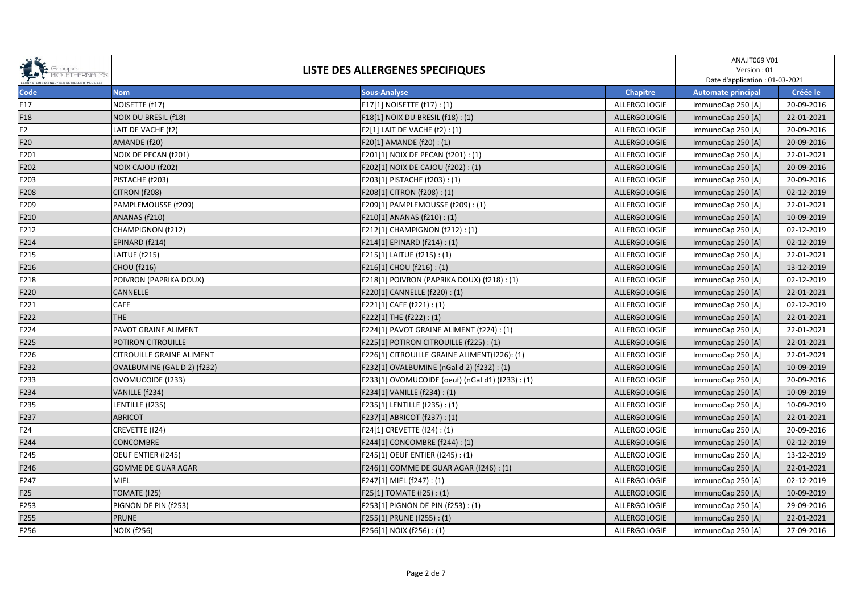| <b>COMPOSE</b><br>COMPOSED BOOK CONTROL PROPERTY AND RESPONDED TO THE RIVER MEDICAL CONTROL CONTROL CONTROL AND MEDICAL CONTROL AND MEDICAL CONTROL CONTROL CONTROL CONTROL CONTROL CONTROL CONTROL CONTROL CONTROL CONTROL CONTROL CO<br><b>BIO ETHERNALYS</b> | LISTE DES ALLERGENES SPECIFIQUES |                                                  |                 | ANA.IT069 V01<br>Version: 01<br>Date d'application : 01-03-2021 |            |
|-----------------------------------------------------------------------------------------------------------------------------------------------------------------------------------------------------------------------------------------------------------------|----------------------------------|--------------------------------------------------|-----------------|-----------------------------------------------------------------|------------|
| Code                                                                                                                                                                                                                                                            | <b>Nom</b>                       | <b>Sous-Analyse</b>                              | <b>Chapitre</b> | <b>Automate principal</b>                                       | Créée le   |
| F17                                                                                                                                                                                                                                                             | NOISETTE (f17)                   | F17[1] NOISETTE (f17): (1)                       | ALLERGOLOGIE    | ImmunoCap 250 [A]                                               | 20-09-2016 |
| F18                                                                                                                                                                                                                                                             | <b>NOIX DU BRESIL (f18)</b>      | F18[1] NOIX DU BRESIL (f18) : (1)                | ALLERGOLOGIE    | ImmunoCap 250 [A]                                               | 22-01-2021 |
| F <sub>2</sub>                                                                                                                                                                                                                                                  | LAIT DE VACHE (f2)               | F2[1] LAIT DE VACHE (f2): (1)                    | ALLERGOLOGIE    | ImmunoCap 250 [A]                                               | 20-09-2016 |
| F20                                                                                                                                                                                                                                                             | AMANDE (f20)                     | F20[1] AMANDE (f20): (1)                         | ALLERGOLOGIE    | ImmunoCap 250 [A]                                               | 20-09-2016 |
| F201                                                                                                                                                                                                                                                            | NOIX DE PECAN (f201)             | F201[1] NOIX DE PECAN (f201) : (1)               | ALLERGOLOGIE    | ImmunoCap 250 [A]                                               | 22-01-2021 |
| F202                                                                                                                                                                                                                                                            | <b>NOIX CAJOU (f202)</b>         | F202[1] NOIX DE CAJOU (f202) : (1)               | ALLERGOLOGIE    | ImmunoCap 250 [A]                                               | 20-09-2016 |
| F203                                                                                                                                                                                                                                                            | PISTACHE (f203)                  | F203[1] PISTACHE (f203): (1)                     | ALLERGOLOGIE    | ImmunoCap 250 [A]                                               | 20-09-2016 |
| F208                                                                                                                                                                                                                                                            | CITRON (f208)                    | F208[1] CITRON (f208) : (1)                      | ALLERGOLOGIE    | ImmunoCap 250 [A]                                               | 02-12-2019 |
| F209                                                                                                                                                                                                                                                            | PAMPLEMOUSSE (f209)              | F209[1] PAMPLEMOUSSE (f209): (1)                 | ALLERGOLOGIE    | ImmunoCap 250 [A]                                               | 22-01-2021 |
| F210                                                                                                                                                                                                                                                            | ANANAS (f210)                    | F210[1] ANANAS (f210) : (1)                      | ALLERGOLOGIE    | ImmunoCap 250 [A]                                               | 10-09-2019 |
| F212                                                                                                                                                                                                                                                            | CHAMPIGNON (f212)                | F212[1] CHAMPIGNON (f212): (1)                   | ALLERGOLOGIE    | ImmunoCap 250 [A]                                               | 02-12-2019 |
| F214                                                                                                                                                                                                                                                            | EPINARD (f214)                   | F214[1] EPINARD (f214) : (1)                     | ALLERGOLOGIE    | ImmunoCap 250 [A]                                               | 02-12-2019 |
| F215                                                                                                                                                                                                                                                            | LAITUE (f215)                    | F215[1] LAITUE (f215): (1)                       | ALLERGOLOGIE    | ImmunoCap 250 [A]                                               | 22-01-2021 |
| F216                                                                                                                                                                                                                                                            | <b>CHOU (f216)</b>               | F216[1] CHOU (f216) : (1)                        | ALLERGOLOGIE    | ImmunoCap 250 [A]                                               | 13-12-2019 |
| F218                                                                                                                                                                                                                                                            | POIVRON (PAPRIKA DOUX)           | F218[1] POIVRON (PAPRIKA DOUX) (f218) : (1)      | ALLERGOLOGIE    | ImmunoCap 250 [A]                                               | 02-12-2019 |
| F220                                                                                                                                                                                                                                                            | CANNELLE                         | F220[1] CANNELLE (f220) : (1)                    | ALLERGOLOGIE    | ImmunoCap 250 [A]                                               | 22-01-2021 |
| F221                                                                                                                                                                                                                                                            | CAFE                             | F221[1] CAFE (f221): (1)                         | ALLERGOLOGIE    | ImmunoCap 250 [A]                                               | 02-12-2019 |
| F222                                                                                                                                                                                                                                                            | <b>THE</b>                       | F222[1] THE (f222): (1)                          | ALLERGOLOGIE    | ImmunoCap 250 [A]                                               | 22-01-2021 |
| F224                                                                                                                                                                                                                                                            | PAVOT GRAINE ALIMENT             | F224[1] PAVOT GRAINE ALIMENT (f224) : (1)        | ALLERGOLOGIE    | ImmunoCap 250 [A]                                               | 22-01-2021 |
| F225                                                                                                                                                                                                                                                            | POTIRON CITROUILLE               | F225[1] POTIRON CITROUILLE (f225): (1)           | ALLERGOLOGIE    | ImmunoCap 250 [A]                                               | 22-01-2021 |
| F226                                                                                                                                                                                                                                                            | <b>CITROUILLE GRAINE ALIMENT</b> | F226[1] CITROUILLE GRAINE ALIMENT(f226): (1)     | ALLERGOLOGIE    | ImmunoCap 250 [A]                                               | 22-01-2021 |
| F232                                                                                                                                                                                                                                                            | OVALBUMINE (GAL D 2) (f232)      | F232[1] OVALBUMINE (nGal d 2) (f232) : (1)       | ALLERGOLOGIE    | ImmunoCap 250 [A]                                               | 10-09-2019 |
| F233                                                                                                                                                                                                                                                            | OVOMUCOIDE (f233)                | F233[1] OVOMUCOIDE (oeuf) (nGal d1) (f233) : (1) | ALLERGOLOGIE    | ImmunoCap 250 [A]                                               | 20-09-2016 |
| F234                                                                                                                                                                                                                                                            | VANILLE (f234)                   | F234[1] VANILLE (f234): (1)                      | ALLERGOLOGIE    | ImmunoCap 250 [A]                                               | 10-09-2019 |
| F235                                                                                                                                                                                                                                                            | LENTILLE (f235)                  | F235[1] LENTILLE (f235): (1)                     | ALLERGOLOGIE    | ImmunoCap 250 [A]                                               | 10-09-2019 |
| F237                                                                                                                                                                                                                                                            | <b>ABRICOT</b>                   | F237[1] ABRICOT (f237): (1)                      | ALLERGOLOGIE    | ImmunoCap 250 [A]                                               | 22-01-2021 |
| F24                                                                                                                                                                                                                                                             | CREVETTE (f24)                   | F24[1] CREVETTE (f24): (1)                       | ALLERGOLOGIE    | ImmunoCap 250 [A]                                               | 20-09-2016 |
| F244                                                                                                                                                                                                                                                            | <b>CONCOMBRE</b>                 | F244[1] CONCOMBRE (f244) : (1)                   | ALLERGOLOGIE    | ImmunoCap 250 [A]                                               | 02-12-2019 |
| F245                                                                                                                                                                                                                                                            | OEUF ENTIER (f245)               | F245[1] OEUF ENTIER (f245) : (1)                 | ALLERGOLOGIE    | ImmunoCap 250 [A]                                               | 13-12-2019 |
| F246                                                                                                                                                                                                                                                            | <b>GOMME DE GUAR AGAR</b>        | F246[1] GOMME DE GUAR AGAR (f246) : (1)          | ALLERGOLOGIE    | ImmunoCap 250 [A]                                               | 22-01-2021 |
| F247                                                                                                                                                                                                                                                            | MIEL                             | F247[1] MIEL (f247): (1)                         | ALLERGOLOGIE    | ImmunoCap 250 [A]                                               | 02-12-2019 |
| F25                                                                                                                                                                                                                                                             | TOMATE (f25)                     | F25[1] TOMATE (f25): (1)                         | ALLERGOLOGIE    | ImmunoCap 250 [A]                                               | 10-09-2019 |
| F253                                                                                                                                                                                                                                                            | PIGNON DE PIN (f253)             | F253[1] PIGNON DE PIN (f253) : (1)               | ALLERGOLOGIE    | ImmunoCap 250 [A]                                               | 29-09-2016 |
| F255                                                                                                                                                                                                                                                            | <b>PRUNE</b>                     | F255[1] PRUNE (f255): (1)                        | ALLERGOLOGIE    | ImmunoCap 250 [A]                                               | 22-01-2021 |
| F256                                                                                                                                                                                                                                                            | <b>NOIX (f256)</b>               | F256[1] NOIX (f256): (1)                         | ALLERGOLOGIE    | ImmunoCap 250 [A]                                               | 27-09-2016 |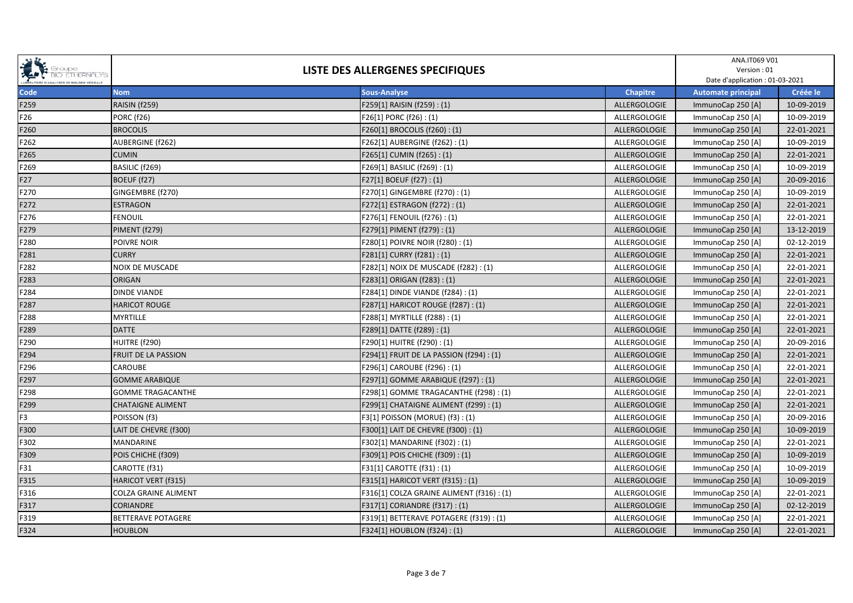| SPORT STOUPS<br><b>BIO ETHERNALYS</b> | LISTE DES ALLERGENES SPECIFIQUES |                                           |                 | ANA.IT069 V01<br>Version: 01<br>Date d'application : 01-03-2021 |            |
|---------------------------------------|----------------------------------|-------------------------------------------|-----------------|-----------------------------------------------------------------|------------|
| Code                                  | <b>Nom</b>                       | <b>Sous-Analyse</b>                       | <b>Chapitre</b> | <b>Automate principal</b>                                       | Créée le   |
| F259                                  | <b>RAISIN (f259)</b>             | F259[1] RAISIN (f259): (1)                | ALLERGOLOGIE    | ImmunoCap 250 [A]                                               | 10-09-2019 |
| F26                                   | <b>PORC (f26)</b>                | F26[1] PORC (f26): (1)                    | ALLERGOLOGIE    | ImmunoCap 250 [A]                                               | 10-09-2019 |
| F260                                  | <b>BROCOLIS</b>                  | F260[1] BROCOLIS (f260): (1)              | ALLERGOLOGIE    | ImmunoCap 250 [A]                                               | 22-01-2021 |
| F262                                  | AUBERGINE (f262)                 | F262[1] AUBERGINE (f262): (1)             | ALLERGOLOGIE    | ImmunoCap 250 [A]                                               | 10-09-2019 |
| F265                                  | <b>CUMIN</b>                     | F265[1] CUMIN (f265): (1)                 | ALLERGOLOGIE    | ImmunoCap 250 [A]                                               | 22-01-2021 |
| F269                                  | BASILIC (f269)                   | F269[1] BASILIC (f269): (1)               | ALLERGOLOGIE    | ImmunoCap 250 [A]                                               | 10-09-2019 |
| F27                                   | BOEUF (f27)                      | F27[1] BOEUF (f27): (1)                   | ALLERGOLOGIE    | ImmunoCap 250 [A]                                               | 20-09-2016 |
| F270                                  | GINGEMBRE (f270)                 | F270[1] GINGEMBRE (f270): (1)             | ALLERGOLOGIE    | ImmunoCap 250 [A]                                               | 10-09-2019 |
| F272                                  | <b>ESTRAGON</b>                  | F272[1] ESTRAGON (f272): (1)              | ALLERGOLOGIE    | ImmunoCap 250 [A]                                               | 22-01-2021 |
| F276                                  | <b>FENOUIL</b>                   | F276[1] FENOUIL (f276): (1)               | ALLERGOLOGIE    | ImmunoCap 250 [A]                                               | 22-01-2021 |
| F279                                  | PIMENT (f279)                    | F279[1] PIMENT (f279): (1)                | ALLERGOLOGIE    | ImmunoCap 250 [A]                                               | 13-12-2019 |
| F280                                  | POIVRE NOIR                      | F280[1] POIVRE NOIR (f280) : (1)          | ALLERGOLOGIE    | ImmunoCap 250 [A]                                               | 02-12-2019 |
| F281                                  | <b>CURRY</b>                     | F281[1] CURRY (f281) : (1)                | ALLERGOLOGIE    | ImmunoCap 250 [A]                                               | 22-01-2021 |
| F282                                  | NOIX DE MUSCADE                  | F282[1] NOIX DE MUSCADE (f282) : (1)      | ALLERGOLOGIE    | ImmunoCap 250 [A]                                               | 22-01-2021 |
| F283                                  | ORIGAN                           | F283[1] ORIGAN (f283) : (1)               | ALLERGOLOGIE    | ImmunoCap 250 [A]                                               | 22-01-2021 |
| F284                                  | <b>DINDE VIANDE</b>              | F284[1] DINDE VIANDE (f284) : (1)         | ALLERGOLOGIE    | ImmunoCap 250 [A]                                               | 22-01-2021 |
| F287                                  | <b>HARICOT ROUGE</b>             | F287[1] HARICOT ROUGE (f287): (1)         | ALLERGOLOGIE    | ImmunoCap 250 [A]                                               | 22-01-2021 |
| F288                                  | <b>MYRTILLE</b>                  | F288[1] MYRTILLE (f288): (1)              | ALLERGOLOGIE    | ImmunoCap 250 [A]                                               | 22-01-2021 |
| F289                                  | <b>DATTE</b>                     | F289[1] DATTE (f289): (1)                 | ALLERGOLOGIE    | ImmunoCap 250 [A]                                               | 22-01-2021 |
| F290                                  | HUITRE (f290)                    | F290[1] HUITRE (f290): (1)                | ALLERGOLOGIE    | ImmunoCap 250 [A]                                               | 20-09-2016 |
| F294                                  | FRUIT DE LA PASSION              | F294[1] FRUIT DE LA PASSION (f294) : (1)  | ALLERGOLOGIE    | ImmunoCap 250 [A]                                               | 22-01-2021 |
| F296                                  | CAROUBE                          | F296[1] CAROUBE (f296): (1)               | ALLERGOLOGIE    | ImmunoCap 250 [A]                                               | 22-01-2021 |
| F297                                  | <b>GOMME ARABIQUE</b>            | F297[1] GOMME ARABIQUE (f297) : (1)       | ALLERGOLOGIE    | ImmunoCap 250 [A]                                               | 22-01-2021 |
| F298                                  | <b>GOMME TRAGACANTHE</b>         | F298[1] GOMME TRAGACANTHE (f298) : (1)    | ALLERGOLOGIE    | ImmunoCap 250 [A]                                               | 22-01-2021 |
| F299                                  | <b>CHATAIGNE ALIMENT</b>         | F299[1] CHATAIGNE ALIMENT (f299): (1)     | ALLERGOLOGIE    | ImmunoCap 250 [A]                                               | 22-01-2021 |
| F3                                    | POISSON (f3)                     | F3[1] POISSON (MORUE) (f3): (1)           | ALLERGOLOGIE    | ImmunoCap 250 [A]                                               | 20-09-2016 |
| F300                                  | LAIT DE CHEVRE (f300)            | F300[1] LAIT DE CHEVRE (f300) : (1)       | ALLERGOLOGIE    | ImmunoCap 250 [A]                                               | 10-09-2019 |
| F302                                  | MANDARINE                        | F302[1] MANDARINE (f302): (1)             | ALLERGOLOGIE    | ImmunoCap 250 [A]                                               | 22-01-2021 |
| F309                                  | POIS CHICHE (f309)               | F309[1] POIS CHICHE (f309): (1)           | ALLERGOLOGIE    | ImmunoCap 250 [A]                                               | 10-09-2019 |
| F31                                   | CAROTTE (f31)                    | F31[1] CAROTTE (f31) : (1)                | ALLERGOLOGIE    | ImmunoCap 250 [A]                                               | 10-09-2019 |
| F315                                  | HARICOT VERT (f315)              | F315[1] HARICOT VERT (f315) : (1)         | ALLERGOLOGIE    | ImmunoCap 250 [A]                                               | 10-09-2019 |
| F316                                  | COLZA GRAINE ALIMENT             | F316[1] COLZA GRAINE ALIMENT (f316) : (1) | ALLERGOLOGIE    | ImmunoCap 250 [A]                                               | 22-01-2021 |
| F317                                  | <b>CORIANDRE</b>                 | F317[1] CORIANDRE (f317) : (1)            | ALLERGOLOGIE    | ImmunoCap 250 [A]                                               | 02-12-2019 |
| F319                                  | <b>BETTERAVE POTAGERE</b>        | F319[1] BETTERAVE POTAGERE (f319) : (1)   | ALLERGOLOGIE    | ImmunoCap 250 [A]                                               | 22-01-2021 |
| F324                                  | <b>HOUBLON</b>                   | F324[1] HOUBLON (f324) : (1)              | ALLERGOLOGIE    | ImmunoCap 250 [A]                                               | 22-01-2021 |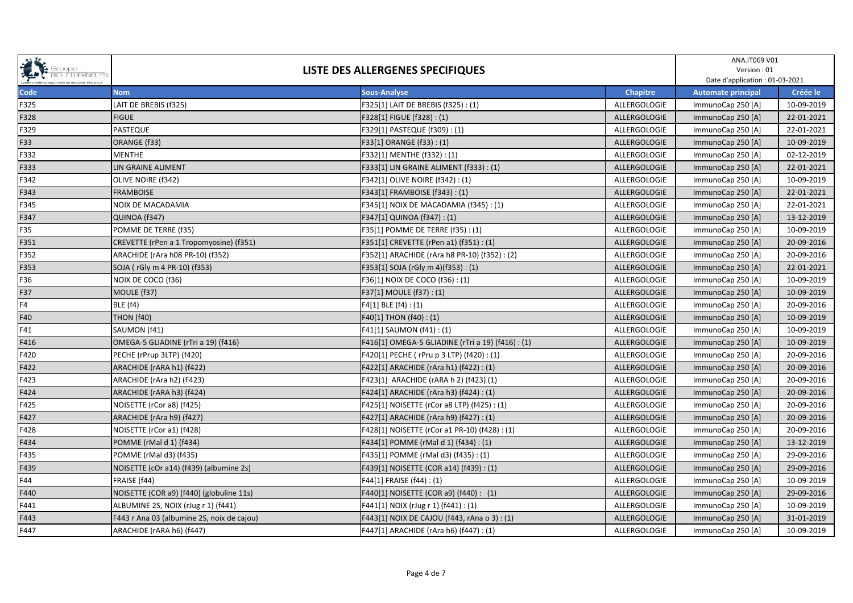| SPORT STOUPS<br><b>BIO ETHERNALYS</b> | LISTE DES ALLERGENES SPECIFIQUES           |                                                   |              | ANA.IT069 V01<br>Version: 01<br>Date d'application : 01-03-2021 |            |
|---------------------------------------|--------------------------------------------|---------------------------------------------------|--------------|-----------------------------------------------------------------|------------|
| Code                                  | <b>Nom</b>                                 | <b>Sous-Analyse</b>                               | Chapitre     | <b>Automate principal</b>                                       | Créée le   |
| F325                                  | LAIT DE BREBIS (f325)                      | F325[1] LAIT DE BREBIS (f325) : (1)               | ALLERGOLOGIE | ImmunoCap 250 [A]                                               | 10-09-2019 |
| F328                                  | <b>FIGUE</b>                               | F328[1] FIGUE (f328): (1)                         | ALLERGOLOGIE | ImmunoCap 250 [A]                                               | 22-01-2021 |
| F329                                  | <b>PASTEQUE</b>                            | F329[1] PASTEQUE (f309): (1)                      | ALLERGOLOGIE | ImmunoCap 250 [A]                                               | 22-01-2021 |
| F33                                   | ORANGE (f33)                               | F33[1] ORANGE (f33): (1)                          | ALLERGOLOGIE | ImmunoCap 250 [A]                                               | 10-09-2019 |
| F332                                  | <b>MENTHE</b>                              | F332[1] MENTHE (f332): (1)                        | ALLERGOLOGIE | ImmunoCap 250 [A]                                               | 02-12-2019 |
| F333                                  | LIN GRAINE ALIMENT                         | F333[1] LIN GRAINE ALIMENT (f333) : (1)           | ALLERGOLOGIE | ImmunoCap 250 [A]                                               | 22-01-2021 |
| F342                                  | OLIVE NOIRE (f342)                         | F342[1] OLIVE NOIRE (f342) : (1)                  | ALLERGOLOGIE | ImmunoCap 250 [A]                                               | 10-09-2019 |
| F343                                  | <b>FRAMBOISE</b>                           | F343[1] FRAMBOISE (f343): (1)                     | ALLERGOLOGIE | ImmunoCap 250 [A]                                               | 22-01-2021 |
| F345                                  | NOIX DE MACADAMIA                          | F345[1] NOIX DE MACADAMIA (f345) : (1)            | ALLERGOLOGIE | ImmunoCap 250 [A]                                               | 22-01-2021 |
| F347                                  | QUINOA (f347)                              | F347[1] QUINOA (f347): (1)                        | ALLERGOLOGIE | ImmunoCap 250 [A]                                               | 13-12-2019 |
| F35                                   | POMME DE TERRE (f35)                       | F35[1] POMME DE TERRE (f35) : (1)                 | ALLERGOLOGIE | ImmunoCap 250 [A]                                               | 10-09-2019 |
| F351                                  | CREVETTE (rPen a 1 Tropomyosine) (f351)    | F351[1] CREVETTE (rPen a1) (f351) : (1)           | ALLERGOLOGIE | ImmunoCap 250 [A]                                               | 20-09-2016 |
| F352                                  | ARACHIDE (rAra h08 PR-10) (f352)           | F352[1] ARACHIDE (rAra h8 PR-10) (f352) : (2)     | ALLERGOLOGIE | ImmunoCap 250 [A]                                               | 20-09-2016 |
| F353                                  | SOJA (rGly m 4 PR-10) (f353)               | F353[1] SOJA (rGly m 4)(f353) : (1)               | ALLERGOLOGIE | ImmunoCap 250 [A]                                               | 22-01-2021 |
| F36                                   | NOIX DE COCO (f36)                         | F36[1] NOIX DE COCO (f36) : (1)                   | ALLERGOLOGIE | ImmunoCap 250 [A]                                               | 10-09-2019 |
| F37                                   | MOULE (f37)                                | F37[1] MOULE (f37): (1)                           | ALLERGOLOGIE | ImmunoCap 250 [A]                                               | 10-09-2019 |
| F4                                    | <b>BLE (f4)</b>                            | F4[1] BLE (f4) : (1)                              | ALLERGOLOGIE | ImmunoCap 250 [A]                                               | 20-09-2016 |
| F40                                   | THON (f40)                                 | F40[1] THON (f40) : (1)                           | ALLERGOLOGIE | ImmunoCap 250 [A]                                               | 10-09-2019 |
| F41                                   | SAUMON (f41)                               | F41[1] SAUMON (f41) : (1)                         | ALLERGOLOGIE | ImmunoCap 250 [A]                                               | 10-09-2019 |
| F416                                  | OMEGA-5 GLIADINE (rTri a 19) (f416)        | F416[1] OMEGA-5 GLIADINE (rTri a 19) (f416) : (1) | ALLERGOLOGIE | ImmunoCap 250 [A]                                               | 10-09-2019 |
| F420                                  | PECHE (rPrup 3LTP) (f420)                  | F420[1] PECHE ( rPru p 3 LTP) (f420) : (1)        | ALLERGOLOGIE | ImmunoCap 250 [A]                                               | 20-09-2016 |
| F422                                  | ARACHIDE (rARA h1) (f422)                  | F422[1] ARACHIDE (rAra h1) (f422) : (1)           | ALLERGOLOGIE | ImmunoCap 250 [A]                                               | 20-09-2016 |
| F423                                  | ARACHIDE (rAra h2) (F423)                  | F423[1] ARACHIDE (rARA h 2) (f423) (1)            | ALLERGOLOGIE | ImmunoCap 250 [A]                                               | 20-09-2016 |
| F424                                  | ARACHIDE (rARA h3) (f424)                  | F424[1] ARACHIDE (rAra h3) (f424) : (1)           | ALLERGOLOGIE | ImmunoCap 250 [A]                                               | 20-09-2016 |
| F425                                  | NOISETTE (rCor a8) (f425)                  | F425[1] NOISETTE (rCor a8 LTP) (f425) : (1)       | ALLERGOLOGIE | ImmunoCap 250 [A]                                               | 20-09-2016 |
| F427                                  | ARACHIDE (rAra h9) (f427)                  | F427[1] ARACHIDE (rAra h9) (f427) : (1)           | ALLERGOLOGIE | ImmunoCap 250 [A]                                               | 20-09-2016 |
| F428                                  | NOISETTE (rCor a1) (f428)                  | F428[1] NOISETTE (rCor a1 PR-10) (f428) : (1)     | ALLERGOLOGIE | ImmunoCap 250 [A]                                               | 20-09-2016 |
| F434                                  | POMME (rMal d 1) (f434)                    | F434[1] POMME (rMal d 1) (f434) : (1)             | ALLERGOLOGIE | ImmunoCap 250 [A]                                               | 13-12-2019 |
| F435                                  | POMME (rMal d3) (f435)                     | F435[1] POMME (rMal d3) (f435) : (1)              | ALLERGOLOGIE | ImmunoCap 250 [A]                                               | 29-09-2016 |
| F439                                  | NOISETTE (cOr a14) (f439) (albumine 2s)    | F439[1] NOISETTE (COR a14) (f439) : (1)           | ALLERGOLOGIE | ImmunoCap 250 [A]                                               | 29-09-2016 |
| F44                                   | FRAISE (f44)                               | F44[1] FRAISE (f44) : (1)                         | ALLERGOLOGIE | ImmunoCap 250 [A]                                               | 10-09-2019 |
| F440                                  | NOISETTE (COR a9) (f440) (globuline 11s)   | F440[1] NOISETTE (COR a9) (f440) : (1)            | ALLERGOLOGIE | ImmunoCap 250 [A]                                               | 29-09-2016 |
| F441                                  | ALBUMINE 2S, NOIX (rJug r 1) (f441)        | F441[1] NOIX (rJug r 1) (f441) : (1)              | ALLERGOLOGIE | ImmunoCap 250 [A]                                               | 10-09-2019 |
| F443                                  | F443 r Ana 03 (albumine 2S, noix de cajou) | F443[1] NOIX DE CAJOU (f443, rAna o 3) : (1)      | ALLERGOLOGIE | ImmunoCap 250 [A]                                               | 31-01-2019 |
| F447                                  | ARACHIDE (rARA h6) (f447)                  | F447[1] ARACHIDE (rAra h6) (f447) : (1)           | ALLERGOLOGIE | ImmunoCap 250 [A]                                               | 10-09-2019 |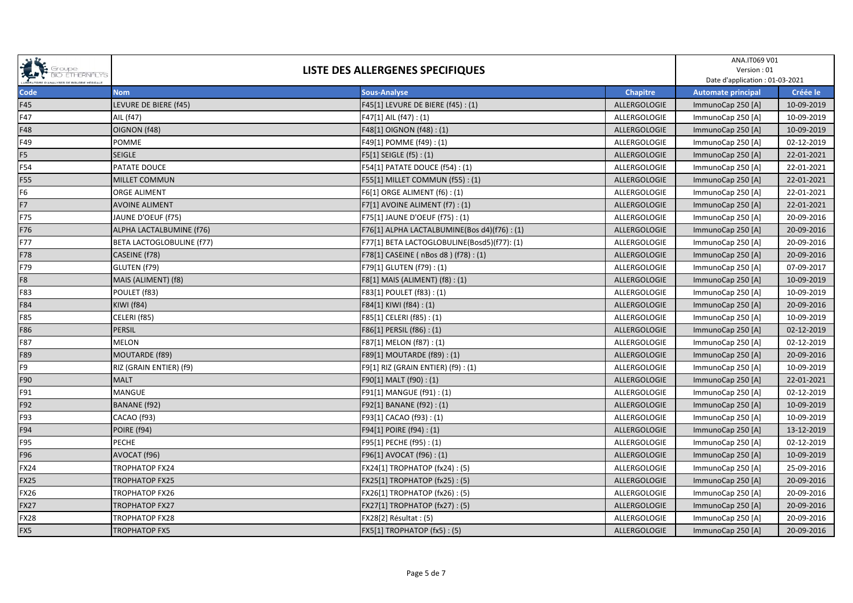| SPORT STOUPS<br><b>BIO ETHERNALYS</b> | LISTE DES ALLERGENES SPECIFIQUES |                                             |                 | ANA.IT069 V01<br>Version: 01<br>Date d'application : 01-03-2021 |            |
|---------------------------------------|----------------------------------|---------------------------------------------|-----------------|-----------------------------------------------------------------|------------|
| Code                                  | <b>Nom</b>                       | <b>Sous-Analyse</b>                         | <b>Chapitre</b> | <b>Automate principal</b>                                       | Créée le   |
| F45                                   | LEVURE DE BIERE (f45)            | F45[1] LEVURE DE BIERE (f45) : (1)          | ALLERGOLOGIE    | ImmunoCap 250 [A]                                               | 10-09-2019 |
| F47                                   | AIL (f47)                        | F47[1] AIL (f47): (1)                       | ALLERGOLOGIE    | ImmunoCap 250 [A]                                               | 10-09-2019 |
| F48                                   | OIGNON (f48)                     | F48[1] OIGNON (f48): (1)                    | ALLERGOLOGIE    | ImmunoCap 250 [A]                                               | 10-09-2019 |
| F49                                   | <b>POMME</b>                     | F49[1] POMME (f49): (1)                     | ALLERGOLOGIE    | ImmunoCap 250 [A]                                               | 02-12-2019 |
| F <sub>5</sub>                        | <b>SEIGLE</b>                    | F5[1] SEIGLE (f5): (1)                      | ALLERGOLOGIE    | ImmunoCap 250 [A]                                               | 22-01-2021 |
| F54                                   | PATATE DOUCE                     | F54[1] PATATE DOUCE (f54): (1)              | ALLERGOLOGIE    | ImmunoCap 250 [A]                                               | 22-01-2021 |
| F55                                   | <b>MILLET COMMUN</b>             | F55[1] MILLET COMMUN (f55): (1)             | ALLERGOLOGIE    | ImmunoCap 250 [A]                                               | 22-01-2021 |
| F <sub>6</sub>                        | <b>ORGE ALIMENT</b>              | F6[1] ORGE ALIMENT (f6): (1)                | ALLERGOLOGIE    | ImmunoCap 250 [A]                                               | 22-01-2021 |
| F7                                    | <b>AVOINE ALIMENT</b>            | F7[1] AVOINE ALIMENT (f7): (1)              | ALLERGOLOGIE    | ImmunoCap 250 [A]                                               | 22-01-2021 |
| F75                                   | JAUNE D'OEUF (f75)               | F75[1] JAUNE D'OEUF (f75) : (1)             | ALLERGOLOGIE    | ImmunoCap 250 [A]                                               | 20-09-2016 |
| F76                                   | ALPHA LACTALBUMINE (f76)         | F76[1] ALPHA LACTALBUMINE(Bos d4)(f76): (1) | ALLERGOLOGIE    | ImmunoCap 250 [A]                                               | 20-09-2016 |
| F77                                   | <b>BETA LACTOGLOBULINE (f77)</b> | F77[1] BETA LACTOGLOBULINE(Bosd5)(f77): (1) | ALLERGOLOGIE    | ImmunoCap 250 [A]                                               | 20-09-2016 |
| F78                                   | CASEINE (f78)                    | F78[1] CASEINE ( nBos d8 ) (f78): (1)       | ALLERGOLOGIE    | ImmunoCap 250 [A]                                               | 20-09-2016 |
| F79                                   | GLUTEN (f79)                     | F79[1] GLUTEN (f79): (1)                    | ALLERGOLOGIE    | ImmunoCap 250 [A]                                               | 07-09-2017 |
| F <sub>8</sub>                        | MAIS (ALIMENT) (f8)              | F8[1] MAIS (ALIMENT) (f8) : (1)             | ALLERGOLOGIE    | ImmunoCap 250 [A]                                               | 10-09-2019 |
| F83                                   | POULET (f83)                     | F83[1] POULET (f83): (1)                    | ALLERGOLOGIE    | ImmunoCap 250 [A]                                               | 10-09-2019 |
| F84                                   | <b>KIWI</b> (f84)                | F84[1] KIWI (f84): (1)                      | ALLERGOLOGIE    | ImmunoCap 250 [A]                                               | 20-09-2016 |
| F85                                   | CELERI (f85)                     | F85[1] CELERI (f85): (1)                    | ALLERGOLOGIE    | ImmunoCap 250 [A]                                               | 10-09-2019 |
| F86                                   | <b>PERSIL</b>                    | F86[1] PERSIL (f86): (1)                    | ALLERGOLOGIE    | ImmunoCap 250 [A]                                               | 02-12-2019 |
| F87                                   | <b>MELON</b>                     | F87[1] MELON (f87): (1)                     | ALLERGOLOGIE    | ImmunoCap 250 [A]                                               | 02-12-2019 |
| F89                                   | MOUTARDE (f89)                   | F89[1] MOUTARDE (f89): (1)                  | ALLERGOLOGIE    | ImmunoCap 250 [A]                                               | 20-09-2016 |
| F9                                    | RIZ (GRAIN ENTIER) (f9)          | F9[1] RIZ (GRAIN ENTIER) (f9) : (1)         | ALLERGOLOGIE    | ImmunoCap 250 [A]                                               | 10-09-2019 |
| F90                                   | <b>MALT</b>                      | F90[1] MALT (f90): (1)                      | ALLERGOLOGIE    | ImmunoCap 250 [A]                                               | 22-01-2021 |
| F91                                   | <b>MANGUE</b>                    | F91[1] MANGUE (f91): (1)                    | ALLERGOLOGIE    | ImmunoCap 250 [A]                                               | 02-12-2019 |
| F92                                   | <b>BANANE</b> (f92)              | F92[1] BANANE (f92): (1)                    | ALLERGOLOGIE    | ImmunoCap 250 [A]                                               | 10-09-2019 |
| F93                                   | CACAO (f93)                      | F93[1] CACAO (f93): (1)                     | ALLERGOLOGIE    | ImmunoCap 250 [A]                                               | 10-09-2019 |
| F94                                   | POIRE (f94)                      | F94[1] POIRE (f94): (1)                     | ALLERGOLOGIE    | ImmunoCap 250 [A]                                               | 13-12-2019 |
| F95                                   | <b>PECHE</b>                     | F95[1] PECHE (f95): (1)                     | ALLERGOLOGIE    | ImmunoCap 250 [A]                                               | 02-12-2019 |
| F96                                   | AVOCAT (f96)                     | F96[1] AVOCAT (f96): (1)                    | ALLERGOLOGIE    | ImmunoCap 250 [A]                                               | 10-09-2019 |
| <b>FX24</b>                           | TROPHATOP FX24                   | FX24[1] TROPHATOP (fx24): (5)               | ALLERGOLOGIE    | ImmunoCap 250 [A]                                               | 25-09-2016 |
| <b>FX25</b>                           | TROPHATOP FX25                   | FX25[1] TROPHATOP (fx25): (5)               | ALLERGOLOGIE    | ImmunoCap 250 [A]                                               | 20-09-2016 |
| <b>FX26</b>                           | TROPHATOP FX26                   | FX26[1] TROPHATOP (fx26): (5)               | ALLERGOLOGIE    | ImmunoCap 250 [A]                                               | 20-09-2016 |
| <b>FX27</b>                           | TROPHATOP FX27                   | FX27[1] TROPHATOP (fx27): (5)               | ALLERGOLOGIE    | ImmunoCap 250 [A]                                               | 20-09-2016 |
| <b>FX28</b>                           | TROPHATOP FX28                   | FX28[2] Résultat : (5)                      | ALLERGOLOGIE    | ImmunoCap 250 [A]                                               | 20-09-2016 |
| FX5                                   | <b>TROPHATOP FX5</b>             | <b>FX5[1] TROPHATOP (fx5): (5)</b>          | ALLERGOLOGIE    | ImmunoCap 250 [A]                                               | 20-09-2016 |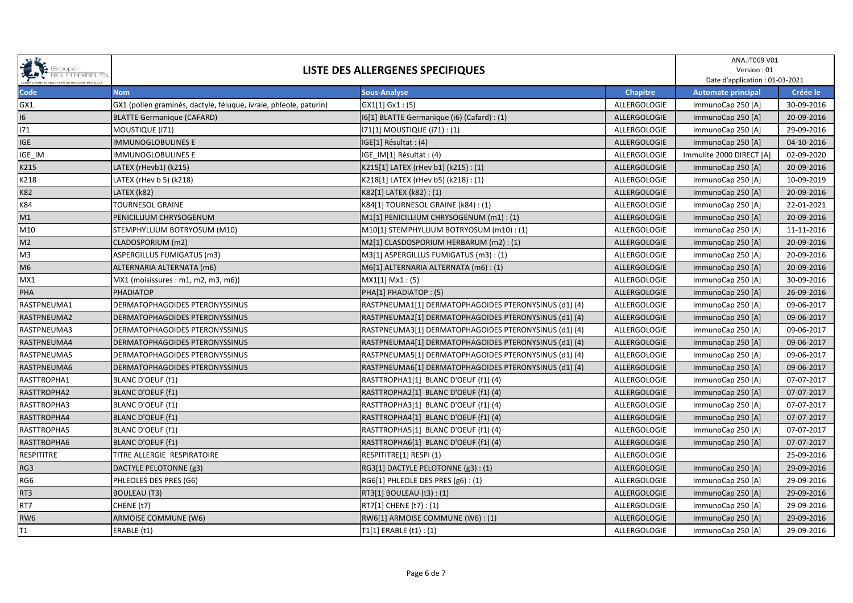| SPORT STOUPS<br><b>BIO ETHERNALYS</b> | LISTE DES ALLERGENES SPECIFIQUES                                  |                                                       |                 | ANA.IT069 V01<br>Version: 01<br>Date d'application : 01-03-2021 |            |
|---------------------------------------|-------------------------------------------------------------------|-------------------------------------------------------|-----------------|-----------------------------------------------------------------|------------|
| Code                                  | <b>Nom</b>                                                        | <b>Sous-Analyse</b>                                   | <b>Chapitre</b> | <b>Automate principal</b>                                       | Créée le   |
| GX1                                   | GX1 (pollen graminés, dactyle, féluque, ivraie, phleole, paturin) | GX1[1] Gx1:(5)                                        | ALLERGOLOGIE    | ImmunoCap 250 [A]                                               | 30-09-2016 |
| 16                                    | <b>BLATTE Germanique (CAFARD)</b>                                 | I6[1] BLATTE Germanique (i6) (Cafard) : (1)           | ALLERGOLOGIE    | ImmunoCap 250 [A]                                               | 20-09-2016 |
| 171                                   | MOUSTIQUE (I71)                                                   | 171[1] MOUSTIQUE (171) : (1)                          | ALLERGOLOGIE    | ImmunoCap 250 [A]                                               | 29-09-2016 |
| <b>IGE</b>                            | <b>IMMUNOGLOBULINES E</b>                                         | IGE[1] Résultat : (4)                                 | ALLERGOLOGIE    | ImmunoCap 250 [A]                                               | 04-10-2016 |
| IGE_IM                                | <b>IMMUNOGLOBULINES E</b>                                         | IGE IM[1] Résultat : (4)                              | ALLERGOLOGIE    | Immulite 2000 DIRECT [A]                                        | 02-09-2020 |
| K215                                  | LATEX (rHevb1) (k215)                                             | K215[1] LATEX (rHev b1) (k215): (1)                   | ALLERGOLOGIE    | ImmunoCap 250 [A]                                               | 20-09-2016 |
| K218                                  | LATEX (rHev b 5) (k218)                                           | K218[1] LATEX (rHev b5) (k218): (1)                   | ALLERGOLOGIE    | ImmunoCap 250 [A]                                               | 10-09-2019 |
| <b>K82</b>                            | LATEX (k82)                                                       | K82[1] LATEX (k82): (1)                               | ALLERGOLOGIE    | ImmunoCap 250 [A]                                               | 20-09-2016 |
| K84                                   | <b>TOURNESOL GRAINE</b>                                           | K84[1] TOURNESOL GRAINE (k84): (1)                    | ALLERGOLOGIE    | ImmunoCap 250 [A]                                               | 22-01-2021 |
| M1                                    | PENICILLIUM CHRYSOGENUM                                           | M1[1] PENICILLIUM CHRYSOGENUM (m1): (1)               | ALLERGOLOGIE    | ImmunoCap 250 [A]                                               | 20-09-2016 |
| M10                                   | STEMPHYLLIUM BOTRYOSUM (M10)                                      | M10[1] STEMPHYLLIUM BOTRYOSUM (m10): (1)              | ALLERGOLOGIE    | ImmunoCap 250 [A]                                               | 11-11-2016 |
| M <sub>2</sub>                        | CLADOSPORIUM (m2)                                                 | M2[1] CLASDOSPORIUM HERBARUM (m2): (1)                | ALLERGOLOGIE    | ImmunoCap 250 [A]                                               | 20-09-2016 |
| M3                                    | ASPERGILLUS FUMIGATUS (m3)                                        | M3[1] ASPERGILLUS FUMIGATUS (m3): (1)                 | ALLERGOLOGIE    | ImmunoCap 250 [A]                                               | 20-09-2016 |
| M <sub>6</sub>                        | ALTERNARIA ALTERNATA (m6)                                         | M6[1] ALTERNARIA ALTERNATA (m6) : (1)                 | ALLERGOLOGIE    | ImmunoCap 250 [A]                                               | 20-09-2016 |
| MX1                                   | MX1 (moisissures : m1, m2, m3, m6))                               | MX1[1] Mx1 : (5)                                      | ALLERGOLOGIE    | ImmunoCap 250 [A]                                               | 30-09-2016 |
| PHA                                   | <b>PHADIATOP</b>                                                  | PHA[1] PHADIATOP: (5)                                 | ALLERGOLOGIE    | ImmunoCap 250 [A]                                               | 26-09-2016 |
| RASTPNEUMA1                           | DERMATOPHAGOIDES PTERONYSSINUS                                    | RASTPNEUMA1[1] DERMATOPHAGOIDES PTERONYSINUS (d1) (4) | ALLERGOLOGIE    | ImmunoCap 250 [A]                                               | 09-06-2017 |
| RASTPNEUMA2                           | <b>DERMATOPHAGOIDES PTERONYSSINUS</b>                             | RASTPNEUMA2[1] DERMATOPHAGOIDES PTERONYSINUS (d1) (4) | ALLERGOLOGIE    | ImmunoCap 250 [A]                                               | 09-06-2017 |
| RASTPNEUMA3                           | <b>DERMATOPHAGOIDES PTERONYSSINUS</b>                             | RASTPNEUMA3[1] DERMATOPHAGOIDES PTERONYSINUS (d1) (4) | ALLERGOLOGIE    | ImmunoCap 250 [A]                                               | 09-06-2017 |
| RASTPNEUMA4                           | <b>DERMATOPHAGOIDES PTERONYSSINUS</b>                             | RASTPNEUMA4[1] DERMATOPHAGOIDES PTERONYSINUS (d1) (4) | ALLERGOLOGIE    | ImmunoCap 250 [A]                                               | 09-06-2017 |
| RASTPNEUMA5                           | DERMATOPHAGOIDES PTERONYSSINUS                                    | RASTPNEUMA5[1] DERMATOPHAGOIDES PTERONYSINUS (d1) (4) | ALLERGOLOGIE    | ImmunoCap 250 [A]                                               | 09-06-2017 |
| RASTPNEUMA6                           | <b>DERMATOPHAGOIDES PTERONYSSINUS</b>                             | RASTPNEUMA6[1] DERMATOPHAGOIDES PTERONYSINUS (d1) (4) | ALLERGOLOGIE    | ImmunoCap 250 [A]                                               | 09-06-2017 |
| RASTTROPHA1                           | BLANC D'OEUF (f1)                                                 | RASTTROPHA1[1] BLANC D'OEUF (f1) (4)                  | ALLERGOLOGIE    | ImmunoCap 250 [A]                                               | 07-07-2017 |
| RASTTROPHA2                           | <b>BLANC D'OEUF (f1)</b>                                          | RASTTROPHA2[1] BLANC D'OEUF (f1) (4)                  | ALLERGOLOGIE    | ImmunoCap 250 [A]                                               | 07-07-2017 |
| RASTTROPHA3                           | BLANC D'OEUF (f1)                                                 | RASTTROPHA3[1] BLANC D'OEUF (f1) (4)                  | ALLERGOLOGIE    | ImmunoCap 250 [A]                                               | 07-07-2017 |
| RASTTROPHA4                           | <b>BLANC D'OEUF (f1)</b>                                          | RASTTROPHA4[1] BLANC D'OEUF (f1) (4)                  | ALLERGOLOGIE    | ImmunoCap 250 [A]                                               | 07-07-2017 |
| RASTTROPHA5                           | BLANC D'OEUF (f1)                                                 | RASTTROPHA5[1] BLANC D'OEUF (f1) (4)                  | ALLERGOLOGIE    | ImmunoCap 250 [A]                                               | 07-07-2017 |
| RASTTROPHA6                           | BLANC D'OEUF (f1)                                                 | RASTTROPHA6[1] BLANC D'OEUF (f1) (4)                  | ALLERGOLOGIE    | ImmunoCap 250 [A]                                               | 07-07-2017 |
| <b>RESPITITRE</b>                     | TITRE ALLERGIE RESPIRATOIRE                                       | RESPITITRE[1] RESPI (1)                               | ALLERGOLOGIE    |                                                                 | 25-09-2016 |
| RG3                                   | DACTYLE PELOTONNE (g3)                                            | RG3[1] DACTYLE PELOTONNE (g3): (1)                    | ALLERGOLOGIE    | ImmunoCap 250 [A]                                               | 29-09-2016 |
| RG6                                   | PHLEOLES DES PRES (G6)                                            | RG6[1] PHLEOLE DES PRES (g6): (1)                     | ALLERGOLOGIE    | ImmunoCap 250 [A]                                               | 29-09-2016 |
| RT3                                   | <b>BOULEAU (T3)</b>                                               | RT3[1] BOULEAU (t3) : (1)                             | ALLERGOLOGIE    | ImmunoCap 250 [A]                                               | 29-09-2016 |
| RT7                                   | CHENE (t7)                                                        | RT7[1] CHENE (t7): (1)                                | ALLERGOLOGIE    | ImmunoCap 250 [A]                                               | 29-09-2016 |
| RW <sub>6</sub>                       | <b>ARMOISE COMMUNE (W6)</b>                                       | RW6[1] ARMOISE COMMUNE (W6): (1)                      | ALLERGOLOGIE    | ImmunoCap 250 [A]                                               | 29-09-2016 |
| T1                                    | ERABLE (t1)                                                       | T1[1] ERABLE (t1) : (1)                               | ALLERGOLOGIE    | ImmunoCap 250 [A]                                               | 29-09-2016 |